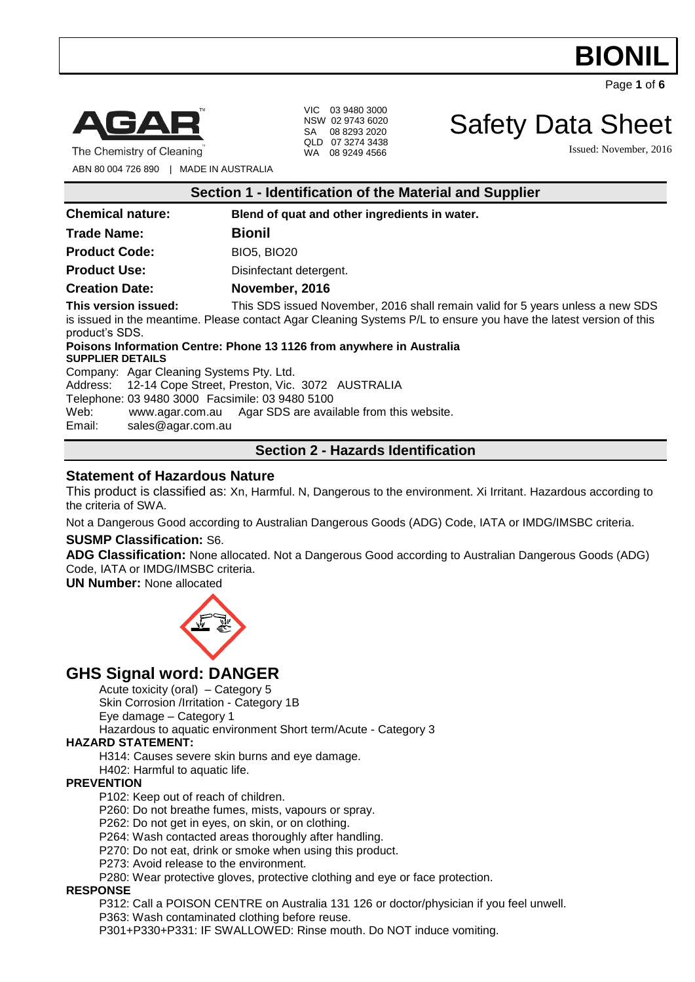

Page **1** of **6**



The Chemistry of Cleaning

VIC 03 9480 3000 NSW 02 9743 6020 SA 08 8293 2020 QLD 07 3274 3438 WA 08 9249 4566

Safety Data Sheet

Issued: November, 2016

ABN 80 004 726 890 | MADE IN AUSTRALIA

| <b>Chemical nature:</b>                | Blend of quat and other ingredients in water.                                                                                                                                                                                                                                       |
|----------------------------------------|-------------------------------------------------------------------------------------------------------------------------------------------------------------------------------------------------------------------------------------------------------------------------------------|
| <b>Trade Name:</b>                     | <b>Bionil</b>                                                                                                                                                                                                                                                                       |
| <b>Product Code:</b>                   | <b>BIO5, BIO20</b>                                                                                                                                                                                                                                                                  |
| <b>Product Use:</b>                    | Disinfectant detergent.                                                                                                                                                                                                                                                             |
| <b>Creation Date:</b>                  | November, 2016                                                                                                                                                                                                                                                                      |
| This version issued:<br>product's SDS. | This SDS issued November, 2016 shall remain valid for 5 years unless a new SDS<br>is issued in the meantime. Please contact Agar Cleaning Systems P/L to ensure you have the latest version of this<br>Batanan Information Administration of A4AA functional control Administration |

**Poisons Information Centre: Phone 13 1126 from anywhere in Australia SUPPLIER DETAILS**

Company: Agar Cleaning Systems Pty. Ltd.

Address: 12-14 Cope Street, Preston, Vic. 3072 AUSTRALIA

Telephone: 03 9480 3000 Facsimile: 03 9480 5100

Web: [www.agar.com.au](http://www.agar.com.au/) Agar SDS are available from this website.

Email: [sales@agar.com.au](mailto:sales@agar.com.au)

### **Section 2 - Hazards Identification**

### **Statement of Hazardous Nature**

This product is classified as: Xn, Harmful. N, Dangerous to the environment. Xi Irritant. Hazardous according to the criteria of SWA.

Not a Dangerous Good according to Australian Dangerous Goods (ADG) Code, IATA or IMDG/IMSBC criteria.

### **SUSMP Classification:** S6.

**ADG Classification:** None allocated. Not a Dangerous Good according to Australian Dangerous Goods (ADG) Code, IATA or IMDG/IMSBC criteria.

**UN Number:** None allocated



### **GHS Signal word: DANGER**

Acute toxicity (oral) – Category 5

Skin Corrosion /Irritation - Category 1B

Eye damage – Category 1

Hazardous to aquatic environment Short term/Acute - Category 3

### **HAZARD STATEMENT:**

H314: Causes severe skin burns and eye damage.

H402: Harmful to aquatic life.

### **PREVENTION**

P102: Keep out of reach of children.

P260: Do not breathe fumes, mists, vapours or spray.

P262: Do not get in eyes, on skin, or on clothing.

P264: Wash contacted areas thoroughly after handling.

P270: Do not eat, drink or smoke when using this product.

P273: Avoid release to the environment.

P280: Wear protective gloves, protective clothing and eye or face protection.

### **RESPONSE**

P312: Call a POISON CENTRE on Australia 131 126 or doctor/physician if you feel unwell. P363: Wash contaminated clothing before reuse.

P301+P330+P331: IF SWALLOWED: Rinse mouth. Do NOT induce vomiting.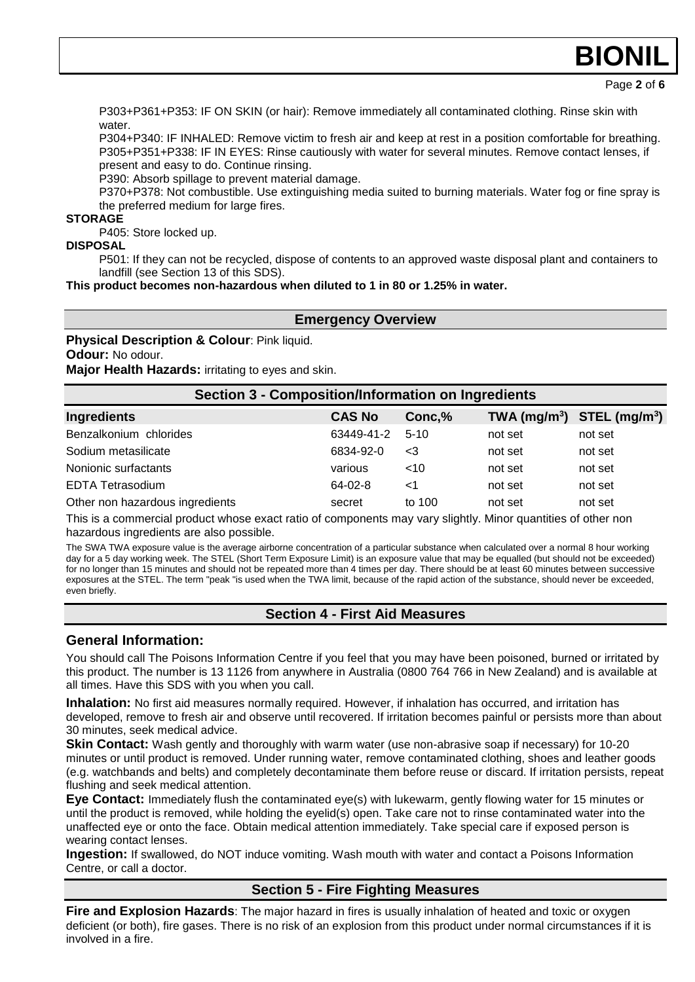# **BION**

Page **2** of **6**

P303+P361+P353: IF ON SKIN (or hair): Remove immediately all contaminated clothing. Rinse skin with water

P304+P340: IF INHALED: Remove victim to fresh air and keep at rest in a position comfortable for breathing. P305+P351+P338: IF IN EYES: Rinse cautiously with water for several minutes. Remove contact lenses, if present and easy to do. Continue rinsing.

P390: Absorb spillage to prevent material damage.

P370+P378: Not combustible. Use extinguishing media suited to burning materials. Water fog or fine spray is the preferred medium for large fires.

### **STORAGE**

P405: Store locked up.

### **DISPOSAL**

P501: If they can not be recycled, dispose of contents to an approved waste disposal plant and containers to landfill (see Section 13 of this SDS).

**This product becomes non-hazardous when diluted to 1 in 80 or 1.25% in water.**

### **Emergency Overview**

**Physical Description & Colour**: Pink liquid. **Odour:** No odour.

**Major Health Hazards:** irritating to eyes and skin.

| <b>Section 3 - Composition/Information on Ingredients</b> |               |          |         |                                |
|-----------------------------------------------------------|---------------|----------|---------|--------------------------------|
| <b>Ingredients</b>                                        | <b>CAS No</b> | Conc,%   |         | TWA $(mg/m^3)$ STEL $(mg/m^3)$ |
| Benzalkonium chlorides                                    | 63449-41-2    | $5-10$   | not set | not set                        |
| Sodium metasilicate                                       | 6834-92-0     | $<$ 3    | not set | not set                        |
| Nonionic surfactants                                      | various       | <10      | not set | not set                        |
| <b>EDTA Tetrasodium</b>                                   | 64-02-8       | $\leq$ 1 | not set | not set                        |
| Other non hazardous ingredients                           | secret        | to 100   | not set | not set                        |

This is a commercial product whose exact ratio of components may vary slightly. Minor quantities of other non hazardous ingredients are also possible.

The SWA TWA exposure value is the average airborne concentration of a particular substance when calculated over a normal 8 hour working day for a 5 day working week. The STEL (Short Term Exposure Limit) is an exposure value that may be equalled (but should not be exceeded) for no longer than 15 minutes and should not be repeated more than 4 times per day. There should be at least 60 minutes between successive exposures at the STEL. The term "peak "is used when the TWA limit, because of the rapid action of the substance, should never be exceeded, even briefly.

### **Section 4 - First Aid Measures**

### **General Information:**

You should call The Poisons Information Centre if you feel that you may have been poisoned, burned or irritated by this product. The number is 13 1126 from anywhere in Australia (0800 764 766 in New Zealand) and is available at all times. Have this SDS with you when you call.

**Inhalation:** No first aid measures normally required. However, if inhalation has occurred, and irritation has developed, remove to fresh air and observe until recovered. If irritation becomes painful or persists more than about 30 minutes, seek medical advice.

**Skin Contact:** Wash gently and thoroughly with warm water (use non-abrasive soap if necessary) for 10-20 minutes or until product is removed. Under running water, remove contaminated clothing, shoes and leather goods (e.g. watchbands and belts) and completely decontaminate them before reuse or discard. If irritation persists, repeat flushing and seek medical attention.

**Eye Contact:** Immediately flush the contaminated eye(s) with lukewarm, gently flowing water for 15 minutes or until the product is removed, while holding the eyelid(s) open. Take care not to rinse contaminated water into the unaffected eye or onto the face. Obtain medical attention immediately. Take special care if exposed person is wearing contact lenses.

**Ingestion:** If swallowed, do NOT induce vomiting. Wash mouth with water and contact a Poisons Information Centre, or call a doctor.

### **Section 5 - Fire Fighting Measures**

**Fire and Explosion Hazards**: The major hazard in fires is usually inhalation of heated and toxic or oxygen deficient (or both), fire gases. There is no risk of an explosion from this product under normal circumstances if it is involved in a fire.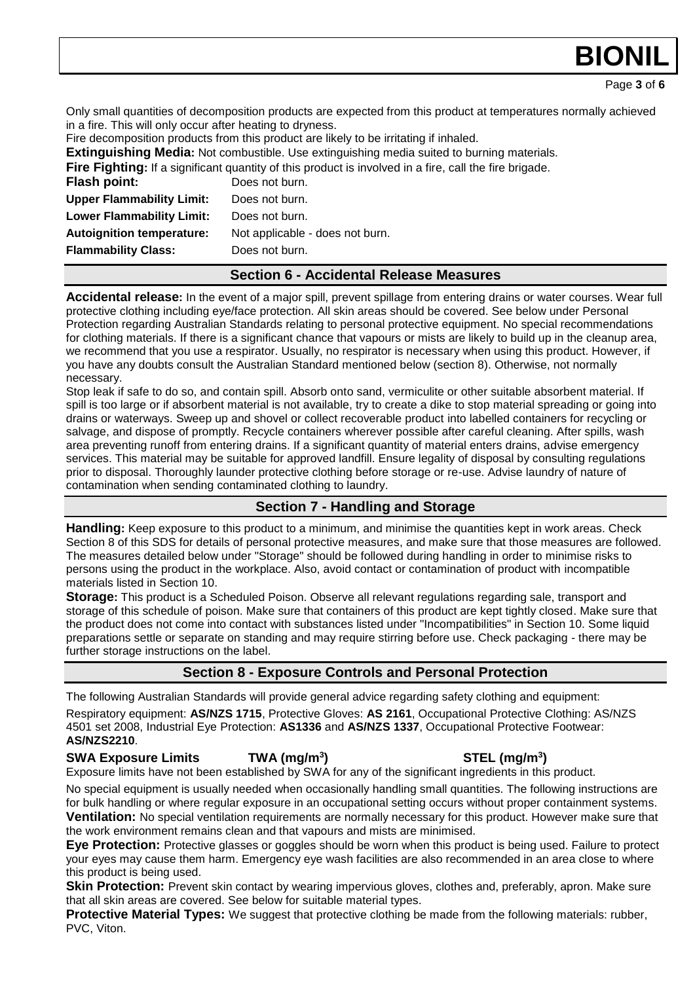Page **3** of **6**

**BION** 

Only small quantities of decomposition products are expected from this product at temperatures normally achieved in a fire. This will only occur after heating to dryness.

Fire decomposition products from this product are likely to be irritating if inhaled.

**Extinguishing Media:** Not combustible. Use extinguishing media suited to burning materials.

**Fire Fighting:** If a significant quantity of this product is involved in a fire, call the fire brigade.

| <b>Flash point:</b>              | Does not burn.                  |
|----------------------------------|---------------------------------|
| <b>Upper Flammability Limit:</b> | Does not burn.                  |
| <b>Lower Flammability Limit:</b> | Does not burn.                  |
| <b>Autoignition temperature:</b> | Not applicable - does not burn. |
| <b>Flammability Class:</b>       | Does not burn.                  |
|                                  |                                 |

### **Section 6 - Accidental Release Measures**

**Accidental release:** In the event of a major spill, prevent spillage from entering drains or water courses. Wear full protective clothing including eye/face protection. All skin areas should be covered. See below under Personal Protection regarding Australian Standards relating to personal protective equipment. No special recommendations for clothing materials. If there is a significant chance that vapours or mists are likely to build up in the cleanup area, we recommend that you use a respirator. Usually, no respirator is necessary when using this product. However, if you have any doubts consult the Australian Standard mentioned below (section 8). Otherwise, not normally necessary.

Stop leak if safe to do so, and contain spill. Absorb onto sand, vermiculite or other suitable absorbent material. If spill is too large or if absorbent material is not available, try to create a dike to stop material spreading or going into drains or waterways. Sweep up and shovel or collect recoverable product into labelled containers for recycling or salvage, and dispose of promptly. Recycle containers wherever possible after careful cleaning. After spills, wash area preventing runoff from entering drains. If a significant quantity of material enters drains, advise emergency services. This material may be suitable for approved landfill. Ensure legality of disposal by consulting regulations prior to disposal. Thoroughly launder protective clothing before storage or re-use. Advise laundry of nature of contamination when sending contaminated clothing to laundry.

### **Section 7 - Handling and Storage**

**Handling:** Keep exposure to this product to a minimum, and minimise the quantities kept in work areas. Check Section 8 of this SDS for details of personal protective measures, and make sure that those measures are followed. The measures detailed below under "Storage" should be followed during handling in order to minimise risks to persons using the product in the workplace. Also, avoid contact or contamination of product with incompatible materials listed in Section 10.

**Storage:** This product is a Scheduled Poison. Observe all relevant regulations regarding sale, transport and storage of this schedule of poison. Make sure that containers of this product are kept tightly closed. Make sure that the product does not come into contact with substances listed under "Incompatibilities" in Section 10. Some liquid preparations settle or separate on standing and may require stirring before use. Check packaging - there may be further storage instructions on the label.

### **Section 8 - Exposure Controls and Personal Protection**

The following Australian Standards will provide general advice regarding safety clothing and equipment: Respiratory equipment: **AS/NZS 1715**, Protective Gloves: **AS 2161**, Occupational Protective Clothing: AS/NZS 4501 set 2008, Industrial Eye Protection: **AS1336** and **AS/NZS 1337**, Occupational Protective Footwear: **AS/NZS2210**.

**SWA Exposure Limits TWA (mg/m<sup>3</sup>** Exposure limits have not been established by SWA for any of the significant ingredients in this product.

No special equipment is usually needed when occasionally handling small quantities. The following instructions are for bulk handling or where regular exposure in an occupational setting occurs without proper containment systems.

**Ventilation:** No special ventilation requirements are normally necessary for this product. However make sure that the work environment remains clean and that vapours and mists are minimised.

**Eye Protection:** Protective glasses or goggles should be worn when this product is being used. Failure to protect your eyes may cause them harm. Emergency eye wash facilities are also recommended in an area close to where this product is being used.

**Skin Protection:** Prevent skin contact by wearing impervious gloves, clothes and, preferably, apron. Make sure that all skin areas are covered. See below for suitable material types.

**Protective Material Types:** We suggest that protective clothing be made from the following materials: rubber, PVC, Viton.

### **) STEL (mg/m<sup>3</sup> )**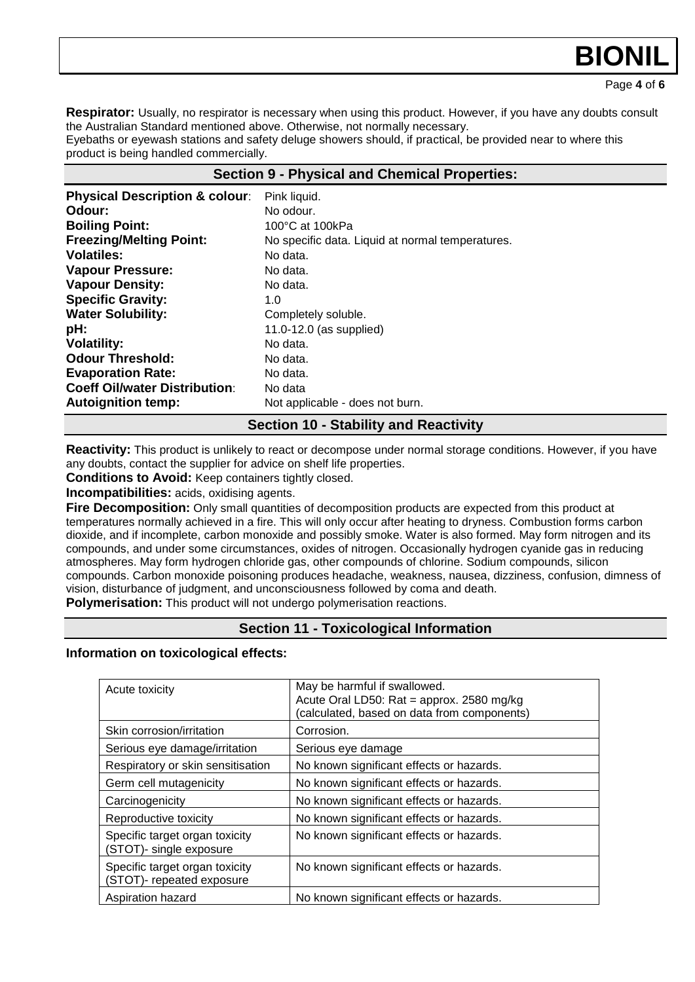## **BION**

Page **4** of **6**

**Respirator:** Usually, no respirator is necessary when using this product. However, if you have any doubts consult the Australian Standard mentioned above. Otherwise, not normally necessary.

Eyebaths or eyewash stations and safety deluge showers should, if practical, be provided near to where this product is being handled commercially.

### **Section 9 - Physical and Chemical Properties:**

| <b>Physical Description &amp; colour:</b> | Pink liquid.                                     |
|-------------------------------------------|--------------------------------------------------|
| Odour:                                    | No odour.                                        |
| <b>Boiling Point:</b>                     | 100°C at 100kPa                                  |
| <b>Freezing/Melting Point:</b>            | No specific data. Liquid at normal temperatures. |
| <b>Volatiles:</b>                         | No data.                                         |
| <b>Vapour Pressure:</b>                   | No data.                                         |
| <b>Vapour Density:</b>                    | No data.                                         |
| <b>Specific Gravity:</b>                  | 1.0                                              |
| <b>Water Solubility:</b>                  | Completely soluble.                              |
| pH:                                       | 11.0-12.0 (as supplied)                          |
| <b>Volatility:</b>                        | No data.                                         |
| <b>Odour Threshold:</b>                   | No data.                                         |
| <b>Evaporation Rate:</b>                  | No data.                                         |
| <b>Coeff Oil/water Distribution:</b>      | No data                                          |
| <b>Autoignition temp:</b>                 | Not applicable - does not burn.                  |

### **Section 10 - Stability and Reactivity**

**Reactivity:** This product is unlikely to react or decompose under normal storage conditions. However, if you have any doubts, contact the supplier for advice on shelf life properties.

**Conditions to Avoid:** Keep containers tightly closed.

**Incompatibilities:** acids, oxidising agents.

**Fire Decomposition:** Only small quantities of decomposition products are expected from this product at temperatures normally achieved in a fire. This will only occur after heating to dryness. Combustion forms carbon dioxide, and if incomplete, carbon monoxide and possibly smoke. Water is also formed. May form nitrogen and its compounds, and under some circumstances, oxides of nitrogen. Occasionally hydrogen cyanide gas in reducing atmospheres. May form hydrogen chloride gas, other compounds of chlorine. Sodium compounds, silicon compounds. Carbon monoxide poisoning produces headache, weakness, nausea, dizziness, confusion, dimness of vision, disturbance of judgment, and unconsciousness followed by coma and death. **Polymerisation:** This product will not undergo polymerisation reactions.

### **Section 11 - Toxicological Information**

**Information on toxicological effects:** 

| Acute toxicity                                              | May be harmful if swallowed.<br>Acute Oral LD50: Rat = approx. 2580 mg/kg<br>(calculated, based on data from components) |
|-------------------------------------------------------------|--------------------------------------------------------------------------------------------------------------------------|
| Skin corrosion/irritation                                   | Corrosion.                                                                                                               |
| Serious eye damage/irritation                               | Serious eye damage                                                                                                       |
| Respiratory or skin sensitisation                           | No known significant effects or hazards.                                                                                 |
| Germ cell mutagenicity                                      | No known significant effects or hazards.                                                                                 |
| Carcinogenicity                                             | No known significant effects or hazards.                                                                                 |
| Reproductive toxicity                                       | No known significant effects or hazards.                                                                                 |
| Specific target organ toxicity<br>(STOT)- single exposure   | No known significant effects or hazards.                                                                                 |
| Specific target organ toxicity<br>(STOT)- repeated exposure | No known significant effects or hazards.                                                                                 |
| Aspiration hazard                                           | No known significant effects or hazards.                                                                                 |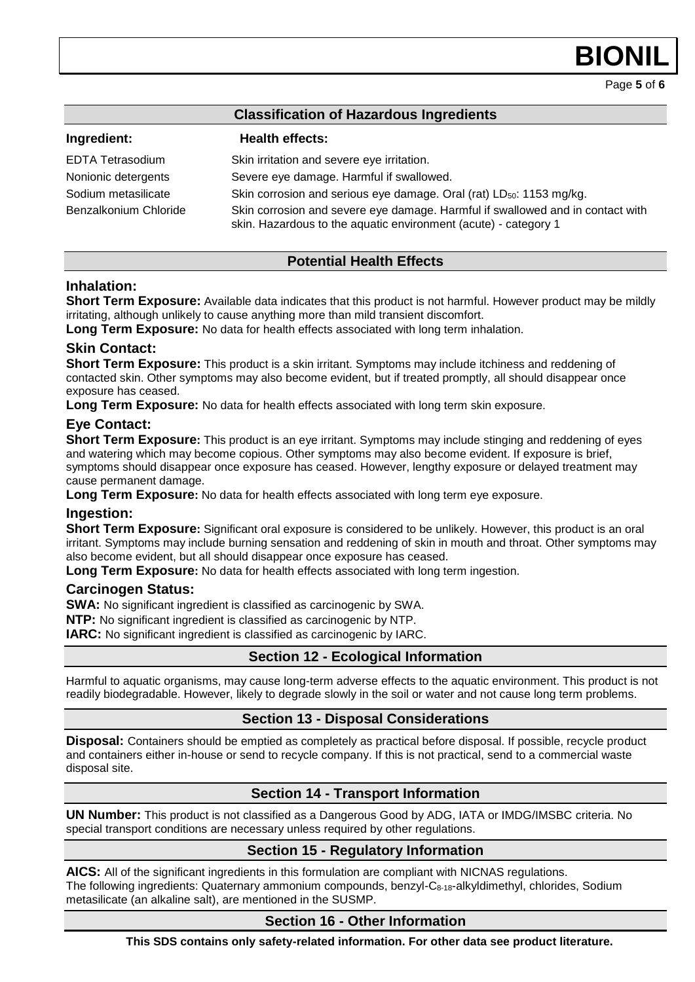**BION** 

Page **5** of **6**

| <b>Classification of Hazardous Ingredients</b> |                                                                                                                                                   |
|------------------------------------------------|---------------------------------------------------------------------------------------------------------------------------------------------------|
| Ingredient:                                    | <b>Health effects:</b>                                                                                                                            |
| EDTA Tetrasodium                               | Skin irritation and severe eye irritation.                                                                                                        |
| Nonionic detergents                            | Severe eye damage. Harmful if swallowed.                                                                                                          |
| Sodium metasilicate                            | Skin corrosion and serious eye damage. Oral (rat) LD <sub>50</sub> : 1153 mg/kg.                                                                  |
| Benzalkonium Chloride                          | Skin corrosion and severe eye damage. Harmful if swallowed and in contact with<br>skin. Hazardous to the aquatic environment (acute) - category 1 |

### **Potential Health Effects**

### **Inhalation:**

**Short Term Exposure:** Available data indicates that this product is not harmful. However product may be mildly irritating, although unlikely to cause anything more than mild transient discomfort.

**Long Term Exposure:** No data for health effects associated with long term inhalation.

### **Skin Contact:**

**Short Term Exposure:** This product is a skin irritant. Symptoms may include itchiness and reddening of contacted skin. Other symptoms may also become evident, but if treated promptly, all should disappear once exposure has ceased.

**Long Term Exposure:** No data for health effects associated with long term skin exposure.

### **Eye Contact:**

**Short Term Exposure:** This product is an eye irritant. Symptoms may include stinging and reddening of eyes and watering which may become copious. Other symptoms may also become evident. If exposure is brief, symptoms should disappear once exposure has ceased. However, lengthy exposure or delayed treatment may cause permanent damage.

**Long Term Exposure:** No data for health effects associated with long term eye exposure.

### **Ingestion:**

**Short Term Exposure:** Significant oral exposure is considered to be unlikely. However, this product is an oral irritant. Symptoms may include burning sensation and reddening of skin in mouth and throat. Other symptoms may also become evident, but all should disappear once exposure has ceased.

**Long Term Exposure:** No data for health effects associated with long term ingestion.

### **Carcinogen Status:**

**SWA:** No significant ingredient is classified as carcinogenic by SWA.

**NTP:** No significant ingredient is classified as carcinogenic by NTP.

**IARC:** No significant ingredient is classified as carcinogenic by IARC.

### **Section 12 - Ecological Information**

Harmful to aquatic organisms, may cause long-term adverse effects to the aquatic environment. This product is not readily biodegradable. However, likely to degrade slowly in the soil or water and not cause long term problems.

### **Section 13 - Disposal Considerations**

**Disposal:** Containers should be emptied as completely as practical before disposal. If possible, recycle product and containers either in-house or send to recycle company. If this is not practical, send to a commercial waste disposal site.

### **Section 14 - Transport Information**

**UN Number:** This product is not classified as a Dangerous Good by ADG, IATA or IMDG/IMSBC criteria. No special transport conditions are necessary unless required by other regulations.

### **Section 15 - Regulatory Information**

**AICS:** All of the significant ingredients in this formulation are compliant with NICNAS regulations. The following ingredients: Quaternary ammonium compounds, benzyl-C8-18-alkyldimethyl, chlorides, Sodium metasilicate (an alkaline salt), are mentioned in the SUSMP.

### **Section 16 - Other Information**

**This SDS contains only safety-related information. For other data see product literature.**